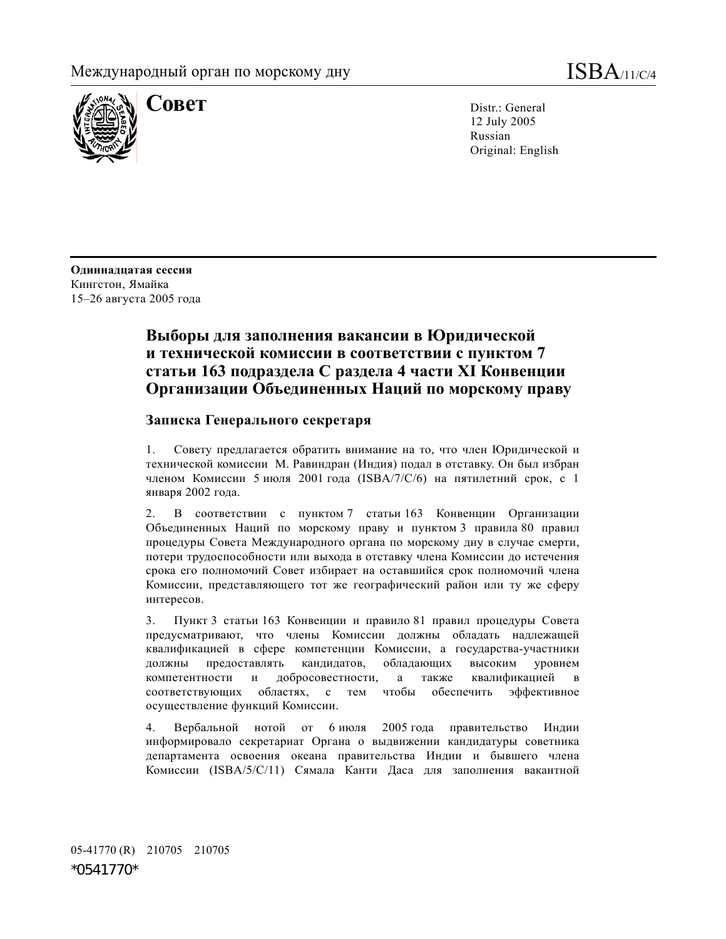

**COBET** Distr.: General 12 July 2005 Russian Original: English

**Одиннадцатая сессия**  Кингстон, Ямайка 15–26 августа 2005 года

# **Выборы для заполнения вакансии в Юридической и технической комиссии в соответствии с пунктом 7 статьи 163 подраздела С раздела 4 части XI Конвенции Организации Объединенных Наций по морскому праву**

## **Записка Генерального секретаря**

1. Совету предлагается обратить внимание на то, что член Юридической и технической комиссии М. Равиндран (Индия) подал в отставку. Он был избран членом Комиссии 5 июля 2001 года (ISBA/7/C/6) на пятилетний срок, с 1 января 2002 года.

2. В соответствии с пунктом 7 статьи 163 Конвенции Организации Объединенных Наций по морскому праву и пунктом 3 правила 80 правил процедуры Совета Международного органа по морскому дну в случае смерти, потери трудоспособности или выхода в отставку члена Комиссии до истечения срока его полномочий Совет избирает на оставшийся срок полномочий члена Комиссии, представляющего тот же географический район или ту же сферу интересов.

3. Пункт 3 статьи 163 Конвенции и правило 81 правил процедуры Совета предусматривают, что члены Комиссии должны обладать надлежащей квалификацией в сфере компетенции Комиссии, а государства-участники должны предоставлять кандидатов, обладающих высоким уровнем компетентности и добросовестности, а также квалификацией в соответствующих областях, с тем чтобы обеспечить эффективное осуществление функций Комиссии.

4. Вербальной нотой от 6 июля 2005 года правительство Индии информировало секретариат Органа о выдвижении кандидатуры советника департамента освоения океана правительства Индии и бывшего члена Комиссии (ISBA/5/C/11) Сямала Канти Даса для заполнения вакантной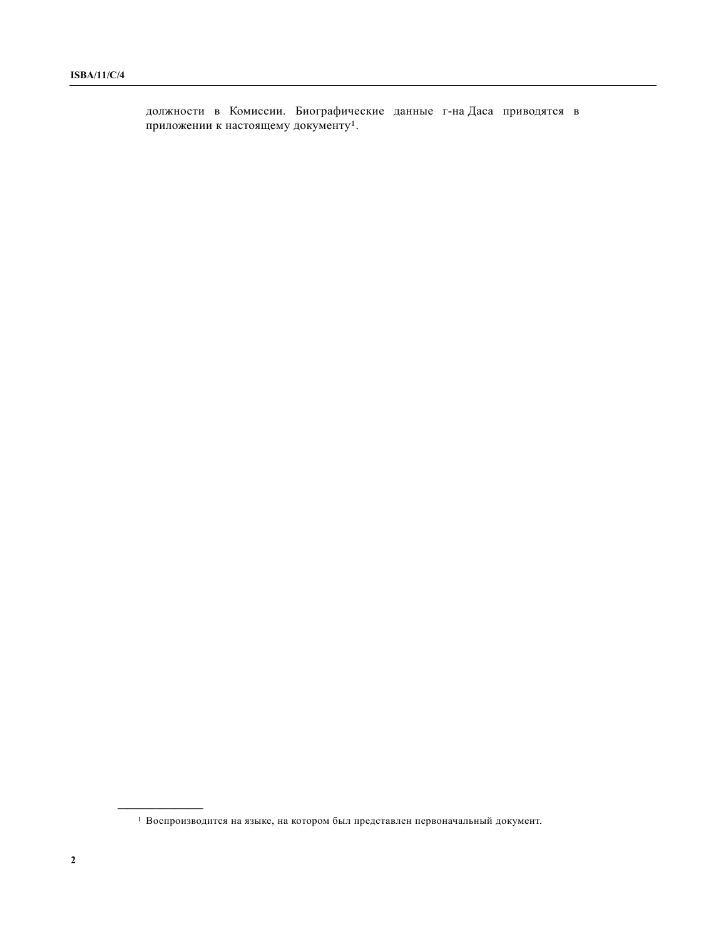должности в Комиссии. Биографические данные г-на Даса приводятся в приложении к настоящему документу1.

**\_\_\_\_\_\_\_\_\_\_\_\_\_\_\_\_\_\_** 

 $^{\rm 1}$  Воспроизводится на языке, на котором был представлен первоначальный документ.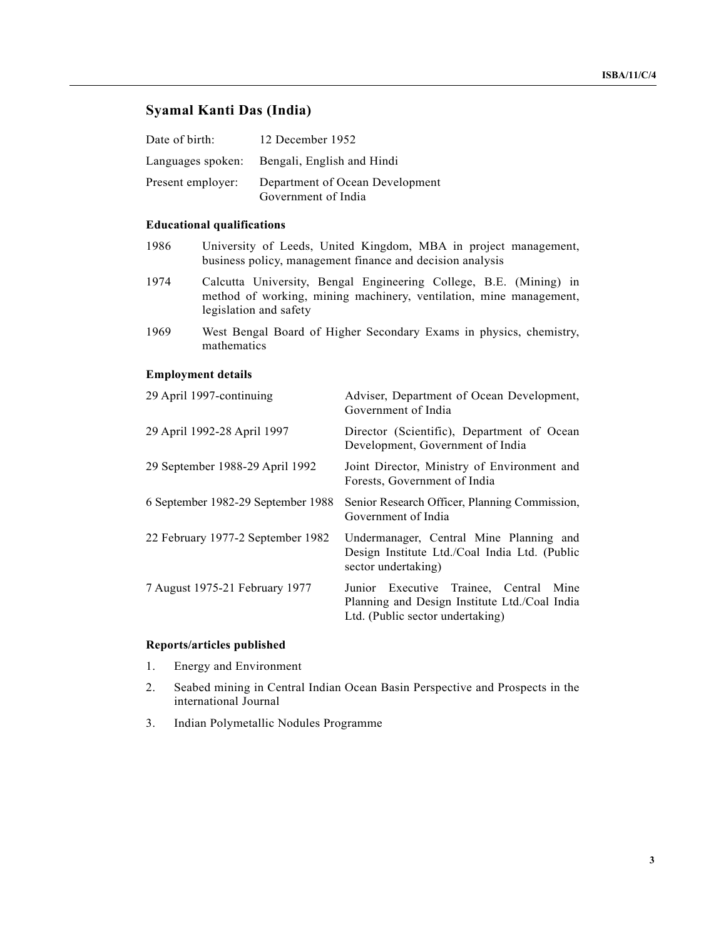## **Syamal Kanti Das (India)**

| Date of birth:    | 12 December 1952                                       |
|-------------------|--------------------------------------------------------|
|                   | Languages spoken: Bengali, English and Hindi           |
| Present employer: | Department of Ocean Development<br>Government of India |

## **Educational qualifications**

- 1986 University of Leeds, United Kingdom, MBA in project management, business policy, management finance and decision analysis
- 1974 Calcutta University, Bengal Engineering College, B.E. (Mining) in method of working, mining machinery, ventilation, mine management, legislation and safety
- 1969 West Bengal Board of Higher Secondary Exams in physics, chemistry, mathematics

#### **Employment details**

| 29 April 1997-continuing           | Adviser, Department of Ocean Development,<br>Government of India                                                               |
|------------------------------------|--------------------------------------------------------------------------------------------------------------------------------|
| 29 April 1992-28 April 1997        | Director (Scientific), Department of Ocean<br>Development, Government of India                                                 |
| 29 September 1988-29 April 1992    | Joint Director, Ministry of Environment and<br>Forests, Government of India                                                    |
| 6 September 1982-29 September 1988 | Senior Research Officer, Planning Commission,<br>Government of India                                                           |
| 22 February 1977-2 September 1982  | Undermanager, Central Mine Planning and<br>Design Institute Ltd./Coal India Ltd. (Public<br>sector undertaking)                |
| 7 August 1975-21 February 1977     | Junior Executive Trainee, Central<br>Mine<br>Planning and Design Institute Ltd./Coal India<br>Ltd. (Public sector undertaking) |

## **Reports/articles published**

- 1. Energy and Environment
- 2. Seabed mining in Central Indian Ocean Basin Perspective and Prospects in the international Journal
- 3. Indian Polymetallic Nodules Programme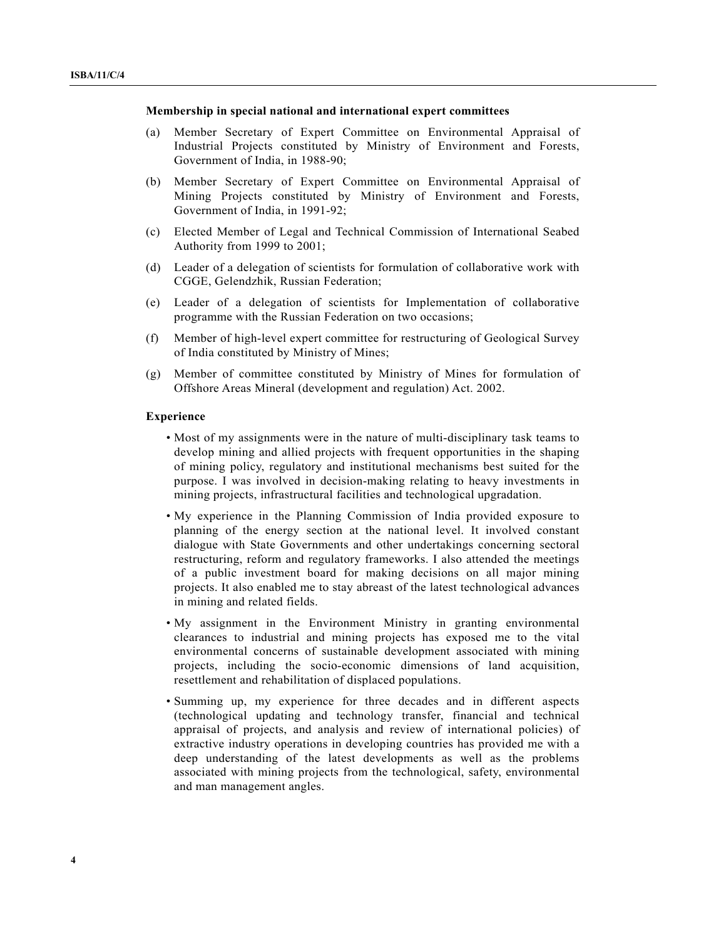#### **Membership in special national and international expert committees**

- (a) Member Secretary of Expert Committee on Environmental Appraisal of Industrial Projects constituted by Ministry of Environment and Forests, Government of India, in 1988-90;
- (b) Member Secretary of Expert Committee on Environmental Appraisal of Mining Projects constituted by Ministry of Environment and Forests, Government of India, in 1991-92;
- (c) Elected Member of Legal and Technical Commission of International Seabed Authority from 1999 to 2001;
- (d) Leader of a delegation of scientists for formulation of collaborative work with CGGE, Gelendzhik, Russian Federation;
- (e) Leader of a delegation of scientists for Implementation of collaborative programme with the Russian Federation on two occasions;
- (f) Member of high-level expert committee for restructuring of Geological Survey of India constituted by Ministry of Mines;
- (g) Member of committee constituted by Ministry of Mines for formulation of Offshore Areas Mineral (development and regulation) Act. 2002.

#### **Experience**

- Most of my assignments were in the nature of multi-disciplinary task teams to develop mining and allied projects with frequent opportunities in the shaping of mining policy, regulatory and institutional mechanisms best suited for the purpose. I was involved in decision-making relating to heavy investments in mining projects, infrastructural facilities and technological upgradation.
- My experience in the Planning Commission of India provided exposure to planning of the energy section at the national level. It involved constant dialogue with State Governments and other undertakings concerning sectoral restructuring, reform and regulatory frameworks. I also attended the meetings of a public investment board for making decisions on all major mining projects. It also enabled me to stay abreast of the latest technological advances in mining and related fields.
- My assignment in the Environment Ministry in granting environmental clearances to industrial and mining projects has exposed me to the vital environmental concerns of sustainable development associated with mining projects, including the socio-economic dimensions of land acquisition, resettlement and rehabilitation of displaced populations.
- Summing up, my experience for three decades and in different aspects (technological updating and technology transfer, financial and technical appraisal of projects, and analysis and review of international policies) of extractive industry operations in developing countries has provided me with a deep understanding of the latest developments as well as the problems associated with mining projects from the technological, safety, environmental and man management angles.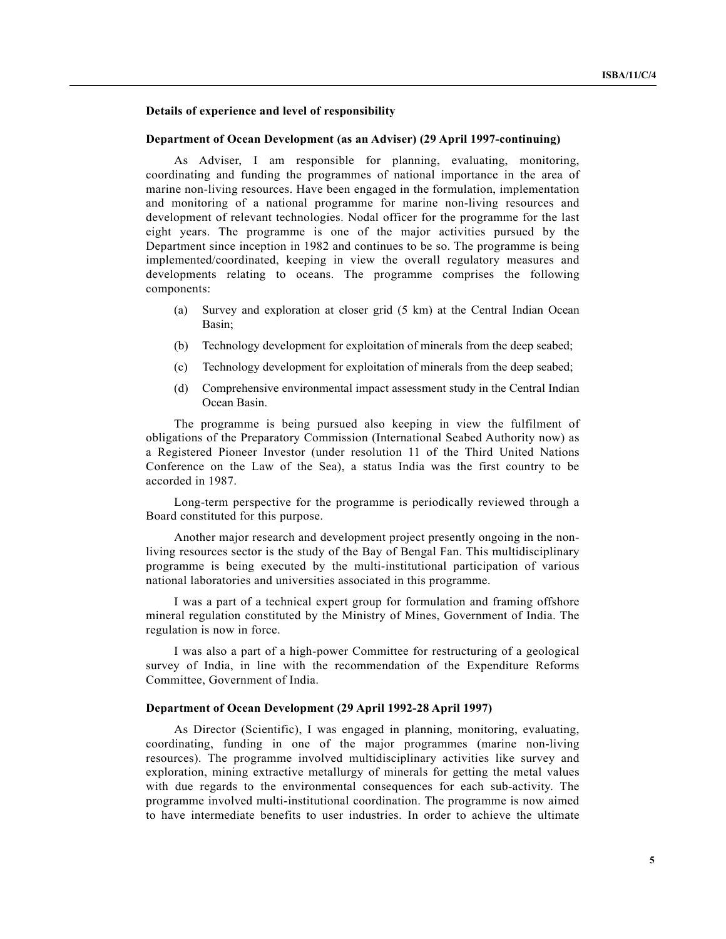## **Details of experience and level of responsibility**

#### **Department of Ocean Development (as an Adviser) (29 April 1997-continuing)**

 As Adviser, I am responsible for planning, evaluating, monitoring, coordinating and funding the programmes of national importance in the area of marine non-living resources. Have been engaged in the formulation, implementation and monitoring of a national programme for marine non-living resources and development of relevant technologies. Nodal officer for the programme for the last eight years. The programme is one of the major activities pursued by the Department since inception in 1982 and continues to be so. The programme is being implemented/coordinated, keeping in view the overall regulatory measures and developments relating to oceans. The programme comprises the following components:

- (a) Survey and exploration at closer grid (5 km) at the Central Indian Ocean Basin;
- (b) Technology development for exploitation of minerals from the deep seabed;
- (c) Technology development for exploitation of minerals from the deep seabed;
- (d) Comprehensive environmental impact assessment study in the Central Indian Ocean Basin.

 The programme is being pursued also keeping in view the fulfilment of obligations of the Preparatory Commission (International Seabed Authority now) as a Registered Pioneer Investor (under resolution 11 of the Third United Nations Conference on the Law of the Sea), a status India was the first country to be accorded in 1987.

 Long-term perspective for the programme is periodically reviewed through a Board constituted for this purpose.

 Another major research and development project presently ongoing in the nonliving resources sector is the study of the Bay of Bengal Fan. This multidisciplinary programme is being executed by the multi-institutional participation of various national laboratories and universities associated in this programme.

 I was a part of a technical expert group for formulation and framing offshore mineral regulation constituted by the Ministry of Mines, Government of India. The regulation is now in force.

 I was also a part of a high-power Committee for restructuring of a geological survey of India, in line with the recommendation of the Expenditure Reforms Committee, Government of India.

#### **Department of Ocean Development (29 April 1992-28 April 1997)**

 As Director (Scientific), I was engaged in planning, monitoring, evaluating, coordinating, funding in one of the major programmes (marine non-living resources). The programme involved multidisciplinary activities like survey and exploration, mining extractive metallurgy of minerals for getting the metal values with due regards to the environmental consequences for each sub-activity. The programme involved multi-institutional coordination. The programme is now aimed to have intermediate benefits to user industries. In order to achieve the ultimate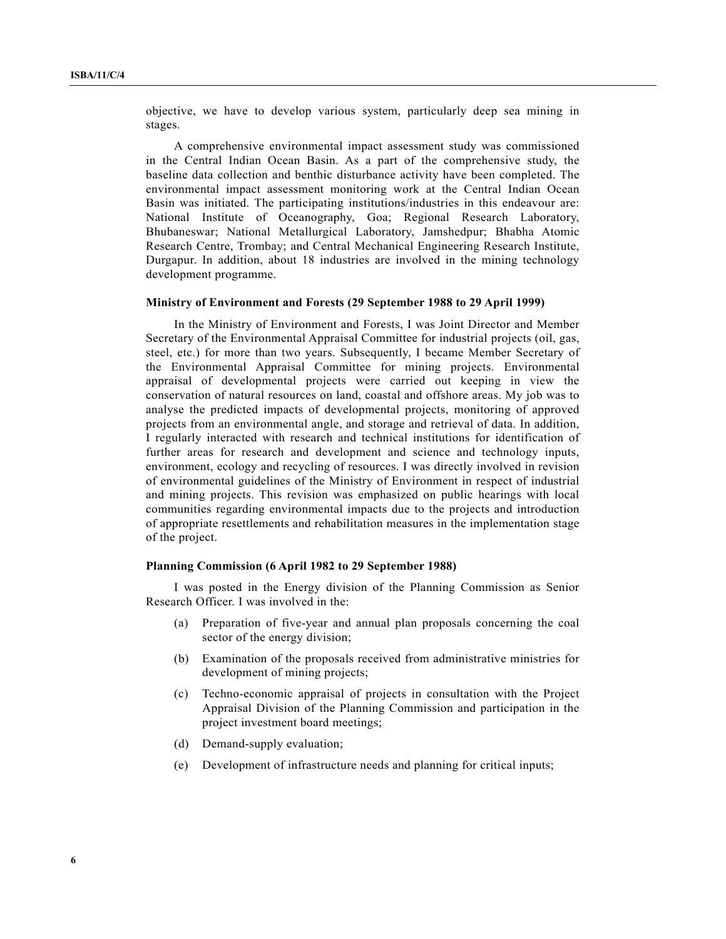objective, we have to develop various system, particularly deep sea mining in stages.

 A comprehensive environmental impact assessment study was commissioned in the Central Indian Ocean Basin. As a part of the comprehensive study, the baseline data collection and benthic disturbance activity have been completed. The environmental impact assessment monitoring work at the Central Indian Ocean Basin was initiated. The participating institutions/industries in this endeavour are: National Institute of Oceanography, Goa; Regional Research Laboratory, Bhubaneswar; National Metallurgical Laboratory, Jamshedpur; Bhabha Atomic Research Centre, Trombay; and Central Mechanical Engineering Research Institute, Durgapur. In addition, about 18 industries are involved in the mining technology development programme.

#### **Ministry of Environment and Forests (29 September 1988 to 29 April 1999)**

 In the Ministry of Environment and Forests, I was Joint Director and Member Secretary of the Environmental Appraisal Committee for industrial projects (oil, gas, steel, etc.) for more than two years. Subsequently, I became Member Secretary of the Environmental Appraisal Committee for mining projects. Environmental appraisal of developmental projects were carried out keeping in view the conservation of natural resources on land, coastal and offshore areas. My job was to analyse the predicted impacts of developmental projects, monitoring of approved projects from an environmental angle, and storage and retrieval of data. In addition, I regularly interacted with research and technical institutions for identification of further areas for research and development and science and technology inputs, environment, ecology and recycling of resources. I was directly involved in revision of environmental guidelines of the Ministry of Environment in respect of industrial and mining projects. This revision was emphasized on public hearings with local communities regarding environmental impacts due to the projects and introduction of appropriate resettlements and rehabilitation measures in the implementation stage of the project.

#### **Planning Commission (6 April 1982 to 29 September 1988)**

 I was posted in the Energy division of the Planning Commission as Senior Research Officer. I was involved in the:

- (a) Preparation of five-year and annual plan proposals concerning the coal sector of the energy division;
- (b) Examination of the proposals received from administrative ministries for development of mining projects;
- (c) Techno-economic appraisal of projects in consultation with the Project Appraisal Division of the Planning Commission and participation in the project investment board meetings;
- (d) Demand-supply evaluation;
- (e) Development of infrastructure needs and planning for critical inputs;